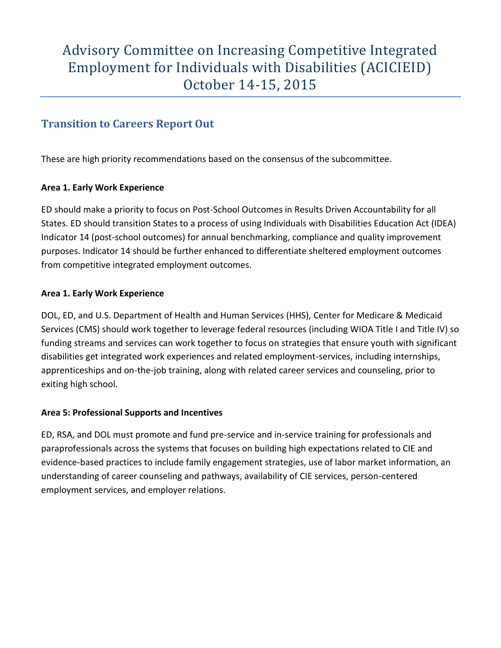## **Transition to Careers Report Out**

These are high priority recommendations based on the consensus of the subcommittee.

### **Area 1. Early Work Experience**

ED should make a priority to focus on Post-School Outcomes in Results Driven Accountability for all States. ED should transition States to a process of using Individuals with Disabilities Education Act (IDEA) Indicator 14 (post-school outcomes) for annual benchmarking, compliance and quality improvement purposes. Indicator 14 should be further enhanced to differentiate sheltered employment outcomes from competitive integrated employment outcomes.

### **Area 1. Early Work Experience**

DOL, ED, and U.S. Department of Health and Human Services (HHS), Center for Medicare & Medicaid Services (CMS) should work together to leverage federal resources (including WIOA Title I and Title IV) so funding streams and services can work together to focus on strategies that ensure youth with significant disabilities get integrated work experiences and related employment-services, including internships, apprenticeships and on-the-job training, along with related career services and counseling, prior to exiting high school.

### **Area 5: Professional Supports and Incentives**

ED, RSA, and DOL must promote and fund pre-service and in-service training for professionals and paraprofessionals across the systems that focuses on building high expectations related to CIE and evidence-based practices to include family engagement strategies, use of labor market information, an understanding of career counseling and pathways, availability of CIE services, person-centered employment services, and employer relations.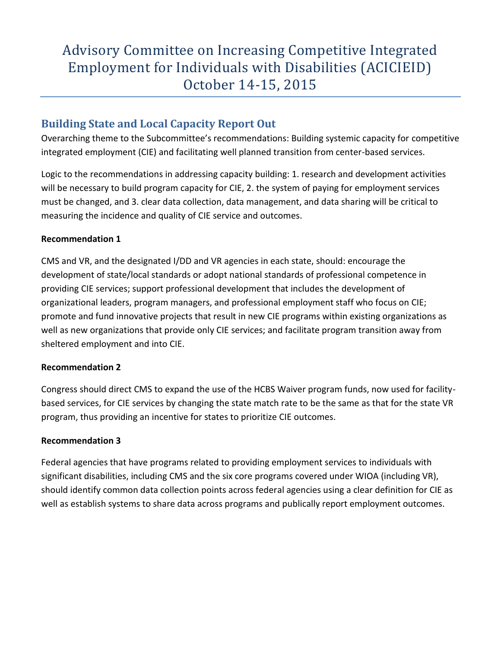## **Building State and Local Capacity Report Out**

Overarching theme to the Subcommittee's recommendations: Building systemic capacity for competitive integrated employment (CIE) and facilitating well planned transition from center-based services.

Logic to the recommendations in addressing capacity building: 1. research and development activities will be necessary to build program capacity for CIE, 2. the system of paying for employment services must be changed, and 3. clear data collection, data management, and data sharing will be critical to measuring the incidence and quality of CIE service and outcomes.

#### **Recommendation 1**

CMS and VR, and the designated I/DD and VR agencies in each state, should: encourage the development of state/local standards or adopt national standards of professional competence in providing CIE services; support professional development that includes the development of organizational leaders, program managers, and professional employment staff who focus on CIE; promote and fund innovative projects that result in new CIE programs within existing organizations as well as new organizations that provide only CIE services; and facilitate program transition away from sheltered employment and into CIE.

#### **Recommendation 2**

Congress should direct CMS to expand the use of the HCBS Waiver program funds, now used for facilitybased services, for CIE services by changing the state match rate to be the same as that for the state VR program, thus providing an incentive for states to prioritize CIE outcomes.

### **Recommendation 3**

Federal agencies that have programs related to providing employment services to individuals with significant disabilities, including CMS and the six core programs covered under WIOA (including VR), should identify common data collection points across federal agencies using a clear definition for CIE as well as establish systems to share data across programs and publically report employment outcomes.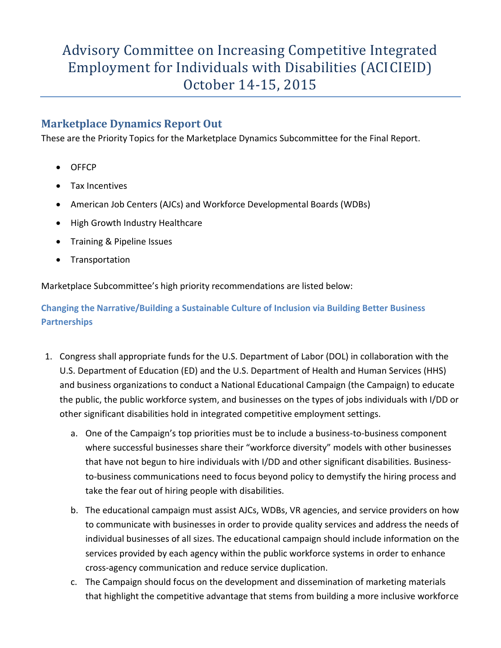## **Marketplace Dynamics Report Out**

These are the Priority Topics for the Marketplace Dynamics Subcommittee for the Final Report.

- OFFCP
- Tax Incentives
- American Job Centers (AJCs) and Workforce Developmental Boards (WDBs)
- High Growth Industry Healthcare
- Training & Pipeline Issues
- Transportation

Marketplace Subcommittee's high priority recommendations are listed below:

**Changing the Narrative/Building a Sustainable Culture of Inclusion via Building Better Business Partnerships**

- 1. Congress shall appropriate funds for the U.S. Department of Labor (DOL) in collaboration with the U.S. Department of Education (ED) and the U.S. Department of Health and Human Services (HHS) and business organizations to conduct a National Educational Campaign (the Campaign) to educate the public, the public workforce system, and businesses on the types of jobs individuals with I/DD or other significant disabilities hold in integrated competitive employment settings.
	- a. One of the Campaign's top priorities must be to include a business-to-business component where successful businesses share their "workforce diversity" models with other businesses that have not begun to hire individuals with I/DD and other significant disabilities. Businessto-business communications need to focus beyond policy to demystify the hiring process and take the fear out of hiring people with disabilities.
	- b. The educational campaign must assist AJCs, WDBs, VR agencies, and service providers on how to communicate with businesses in order to provide quality services and address the needs of individual businesses of all sizes. The educational campaign should include information on the services provided by each agency within the public workforce systems in order to enhance cross-agency communication and reduce service duplication.
	- c. The Campaign should focus on the development and dissemination of marketing materials that highlight the competitive advantage that stems from building a more inclusive workforce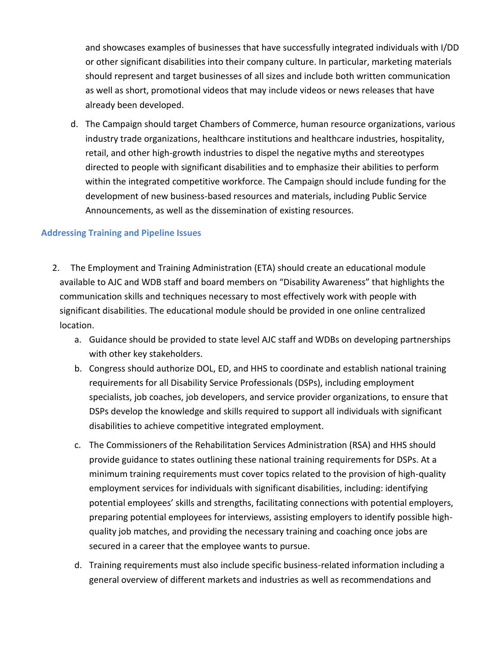and showcases examples of businesses that have successfully integrated individuals with I/DD or other significant disabilities into their company culture. In particular, marketing materials should represent and target businesses of all sizes and include both written communication as well as short, promotional videos that may include videos or news releases that have already been developed.

d. The Campaign should target Chambers of Commerce, human resource organizations, various industry trade organizations, healthcare institutions and healthcare industries, hospitality, retail, and other high-growth industries to dispel the negative myths and stereotypes directed to people with significant disabilities and to emphasize their abilities to perform within the integrated competitive workforce. The Campaign should include funding for the development of new business-based resources and materials, including Public Service Announcements, as well as the dissemination of existing resources.

#### **Addressing Training and Pipeline Issues**

- 2. The Employment and Training Administration (ETA) should create an educational module available to AJC and WDB staff and board members on "Disability Awareness" that highlights the communication skills and techniques necessary to most effectively work with people with significant disabilities. The educational module should be provided in one online centralized location.
	- a. Guidance should be provided to state level AJC staff and WDBs on developing partnerships with other key stakeholders.
	- b. Congress should authorize DOL, ED, and HHS to coordinate and establish national training requirements for all Disability Service Professionals (DSPs), including employment specialists, job coaches, job developers, and service provider organizations, to ensure that DSPs develop the knowledge and skills required to support all individuals with significant disabilities to achieve competitive integrated employment.
	- c. The Commissioners of the Rehabilitation Services Administration (RSA) and HHS should provide guidance to states outlining these national training requirements for DSPs. At a minimum training requirements must cover topics related to the provision of high-quality employment services for individuals with significant disabilities, including: identifying potential employees' skills and strengths, facilitating connections with potential employers, preparing potential employees for interviews, assisting employers to identify possible highquality job matches, and providing the necessary training and coaching once jobs are secured in a career that the employee wants to pursue.
	- d. Training requirements must also include specific business-related information including a general overview of different markets and industries as well as recommendations and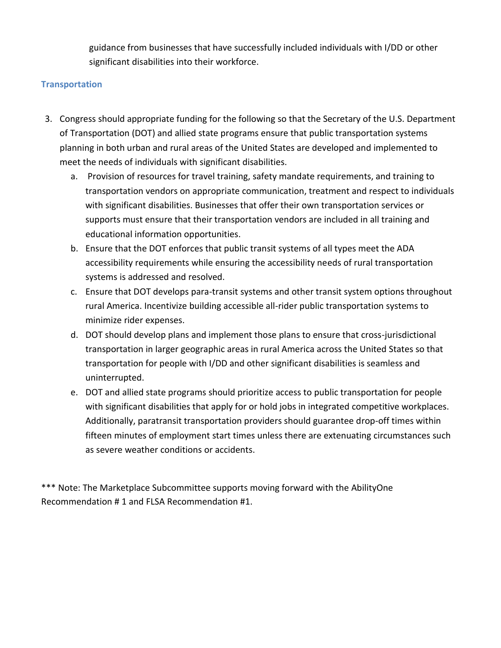guidance from businesses that have successfully included individuals with I/DD or other significant disabilities into their workforce.

#### **Transportation**

- 3. Congress should appropriate funding for the following so that the Secretary of the U.S. Department of Transportation (DOT) and allied state programs ensure that public transportation systems planning in both urban and rural areas of the United States are developed and implemented to meet the needs of individuals with significant disabilities.
	- a. Provision of resources for travel training, safety mandate requirements, and training to transportation vendors on appropriate communication, treatment and respect to individuals with significant disabilities. Businesses that offer their own transportation services or supports must ensure that their transportation vendors are included in all training and educational information opportunities.
	- b. Ensure that the DOT enforces that public transit systems of all types meet the ADA accessibility requirements while ensuring the accessibility needs of rural transportation systems is addressed and resolved.
	- c. Ensure that DOT develops para-transit systems and other transit system options throughout rural America. Incentivize building accessible all-rider public transportation systems to minimize rider expenses.
	- d. DOT should develop plans and implement those plans to ensure that cross-jurisdictional transportation in larger geographic areas in rural America across the United States so that transportation for people with I/DD and other significant disabilities is seamless and uninterrupted.
	- e. DOT and allied state programs should prioritize access to public transportation for people with significant disabilities that apply for or hold jobs in integrated competitive workplaces. Additionally, paratransit transportation providers should guarantee drop-off times within fifteen minutes of employment start times unless there are extenuating circumstances such as severe weather conditions or accidents.

\*\*\* Note: The Marketplace Subcommittee supports moving forward with the AbilityOne Recommendation # 1 and FLSA Recommendation #1.